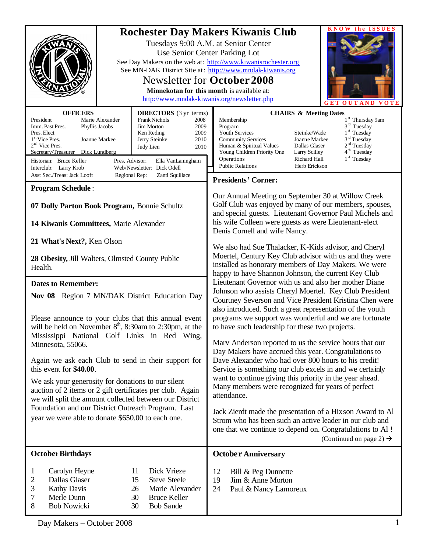| <b>OFFICERS</b><br><b>DIRECTORS</b> (3 yr terms)<br>President<br>Marie Alexander<br><b>Frank Nichols</b><br>2008<br>Imm. Past Pres.<br>Jim Morton<br>2009<br>Phyllis Jacobs<br>Pres. Elect<br>Ken Reding<br>2009<br>1 <sup>st</sup> Vice Pres.<br>Joanne Markee<br>Jerry Steinke<br>2010<br>$2nd$ Vice Pres.<br>Judy Lien<br>2010<br>Secretary/Treasurer<br>Dick Lundberg                                                                                                                                                                               | <b>KNOW the ISSUES</b><br><b>Rochester Day Makers Kiwanis Club</b><br>Tuesdays 9:00 A.M. at Senior Center<br>Use Senior Center Parking Lot<br>See Day Makers on the web at: http://www.kiwanisrochester.org<br>See MN-DAK District Site at: http://www.mndak-kiwanis.org<br>Newsletter for October 2008<br>Minnekotan for this month is available at:<br>http://www.mndak-kiwanis.org/newsletter.php<br><b>OUTAND</b><br><b>VOTE</b><br><b>CHAIRS &amp; Meeting Dates</b><br>1 <sup>st</sup> Thursday 9am<br>Membership<br>$3rd$ Tuesday<br>Program<br>Youth Services<br>$1st$ Tuesday<br>Steinke/Wade<br>$3rd$ Tuesday<br><b>Community Services</b><br>Joanne Markee<br>2 <sup>nd</sup> Tuesday<br>Dallas Glaser<br>Human & Spiritual Values<br>4 <sup>th</sup> Tuesday<br>Young Children Priority One<br>Larry Scilley<br>1 <sup>st</sup> Tuesday<br>Operations<br>Richard Hall                                                                                                                                                                                                                                                                                                                                                                                                                                                                                                                                                                                                                 |  |
|---------------------------------------------------------------------------------------------------------------------------------------------------------------------------------------------------------------------------------------------------------------------------------------------------------------------------------------------------------------------------------------------------------------------------------------------------------------------------------------------------------------------------------------------------------|---------------------------------------------------------------------------------------------------------------------------------------------------------------------------------------------------------------------------------------------------------------------------------------------------------------------------------------------------------------------------------------------------------------------------------------------------------------------------------------------------------------------------------------------------------------------------------------------------------------------------------------------------------------------------------------------------------------------------------------------------------------------------------------------------------------------------------------------------------------------------------------------------------------------------------------------------------------------------------------------------------------------------------------------------------------------------------------------------------------------------------------------------------------------------------------------------------------------------------------------------------------------------------------------------------------------------------------------------------------------------------------------------------------------------------------------------------------------------------------------------|--|
| Historian: Bruce Keller<br>Pres. Advisor:<br>Ella VanLaningham<br>Interclub: Larry Krob<br>Web/Newsletter: Dick Odell<br>Asst Sec./Treas: Jack Looft<br>Zanti Squillace<br>Regional Rep:                                                                                                                                                                                                                                                                                                                                                                | <b>Public Relations</b><br>Herb Erickson                                                                                                                                                                                                                                                                                                                                                                                                                                                                                                                                                                                                                                                                                                                                                                                                                                                                                                                                                                                                                                                                                                                                                                                                                                                                                                                                                                                                                                                          |  |
| <b>Program Schedule:</b><br>07 Dolly Parton Book Program, Bonnie Schultz<br>14 Kiwanis Committees, Marie Alexander<br>21 What's Next?, Ken Olson<br>28 Obesity, Jill Walters, Olmsted County Public<br>Health.<br><b>Dates to Remember:</b><br>Nov 08 Region 7 MN/DAK District Education Day<br>Please announce to your clubs that this annual event<br>will be held on November 8 <sup>th</sup> , 8:30am to 2:30pm, at the<br>Mississippi National Golf Links in Red Wing,<br>Minnesota, 55066.<br>Again we ask each Club to send in their support for | <b>Presidents' Corner:</b><br>Our Annual Meeting on September 30 at Willow Creek<br>Golf Club was enjoyed by many of our members, spouses,<br>and special guests. Lieutenant Governor Paul Michels and<br>his wife Colleen were guests as were Lieutenant-elect<br>Denis Cornell and wife Nancy.<br>We also had Sue Thalacker, K-Kids advisor, and Cheryl<br>Moertel, Century Key Club advisor with us and they were<br>installed as honorary members of Day Makers. We were<br>happy to have Shannon Johnson, the current Key Club<br>Lieutenant Governor with us and also her mother Diane<br>Johnson who assists Cheryl Moertel. Key Club President<br>Courtney Severson and Vice President Kristina Chen were<br>also introduced. Such a great representation of the youth<br>programs we support was wonderful and we are fortunate<br>to have such leadership for these two projects.<br>Marv Anderson reported to us the service hours that our<br>Day Makers have accrued this year. Congratulations to<br>Dave Alexander who had over 800 hours to his credit!<br>Service is something our club excels in and we certainly<br>want to continue giving this priority in the year ahead.<br>Many members were recognized for years of perfect<br>attendance.<br>Jack Zierdt made the presentation of a Hixson Award to Al<br>Strom who has been such an active leader in our club and<br>one that we continue to depend on. Congratulations to Al !<br>(Continued on page 2) $\rightarrow$ |  |
| this event for \$40.00.<br>We ask your generosity for donations to our silent<br>auction of 2 items or 2 gift certificates per club. Again<br>we will split the amount collected between our District<br>Foundation and our District Outreach Program. Last<br>year we were able to donate \$650.00 to each one.                                                                                                                                                                                                                                        |                                                                                                                                                                                                                                                                                                                                                                                                                                                                                                                                                                                                                                                                                                                                                                                                                                                                                                                                                                                                                                                                                                                                                                                                                                                                                                                                                                                                                                                                                                   |  |
| <b>October Birthdays</b>                                                                                                                                                                                                                                                                                                                                                                                                                                                                                                                                | <b>October Anniversary</b>                                                                                                                                                                                                                                                                                                                                                                                                                                                                                                                                                                                                                                                                                                                                                                                                                                                                                                                                                                                                                                                                                                                                                                                                                                                                                                                                                                                                                                                                        |  |
| Dick Vrieze<br>Carolyn Heyne<br>11<br>1<br>Dallas Glaser<br>15<br><b>Steve Steele</b><br>2<br>3<br><b>Kathy Davis</b><br>26<br>Marie Alexander<br>Merle Dunn<br>30<br><b>Bruce Keller</b><br>7<br>8<br><b>Bob Nowicki</b><br><b>Bob Sande</b><br>30                                                                                                                                                                                                                                                                                                     | 12<br>Bill & Peg Dunnette<br>Jim & Anne Morton<br>19<br>24<br>Paul & Nancy Lamoreux                                                                                                                                                                                                                                                                                                                                                                                                                                                                                                                                                                                                                                                                                                                                                                                                                                                                                                                                                                                                                                                                                                                                                                                                                                                                                                                                                                                                               |  |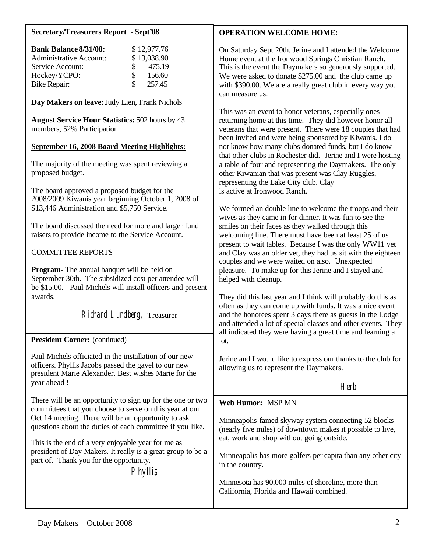### **Secretary/Treasurers Report - Sept'08**

| <b>Bank Balance 8/31/08:</b>   |               | \$12,977.76 |
|--------------------------------|---------------|-------------|
| <b>Administrative Account:</b> |               | \$13,038.90 |
| Service Account:               | $\mathcal{S}$ | $-475.19$   |
| Hockey/YCPO:                   | <sup>S</sup>  | 156.60      |
| Bike Repair:                   | S.            | 257.45      |

**Day Makers on leave:** Judy Lien, Frank Nichols

**August Service Hour Statistics:** 502 hours by 43 members, 52% Participation.

#### **September 16, 2008 Board Meeting Highlights:**

The majority of the meeting was spent reviewing a proposed budget.

The board approved a proposed budget for the 2008/2009 Kiwanis year beginning October 1, 2008 of \$13,446 Administration and \$5,750 Service.

The board discussed the need for more and larger fund raisers to provide income to the Service Account.

# COMMITTEE REPORTS

**Program-** The annual banquet will be held on September 30th. The subsidized cost per attendee will be \$15.00. Paul Michels will install officers and present awards.

Richard Lundberg, Treasurer

#### **President Corner:** (continued) j

Paul Michels officiated in the installation of our new officers. Phyllis Jacobs passed the gavel to our new president Marie Alexander. Best wishes Marie for the year ahead !

There will be an opportunity to sign up for the one or two committees that you choose to serve on this year at our Oct 14 meeting. There will be an opportunity to ask questions about the duties of each committee if you like.

This is the end of a very enjoyable year for me as president of Day Makers. It really is a great group to be a part of. Thank you for the opportunity.

Phyllis

# **OPERATION WELCOME HOME:**

On Saturday Sept 20th, Jerine and I attended the Welcome Home event at the Ironwood Springs Christian Ranch. This is the event the Daymakers so generously supported. We were asked to donate \$275.00 and the club came up with \$390.00. We are a really great club in every way you can measure us.

This was an event to honor veterans, especially ones returning home at this time. They did however honor all veterans that were present. There were 18 couples that had been invited and were being sponsored by Kiwanis. I do not know how many clubs donated funds, but I do know that other clubs in Rochester did. Jerine and I were hosting a table of four and representing the Daymakers. The only other Kiwanian that was present was Clay Ruggles, representing the Lake City club. Clay is active at Ironwood Ranch.

We formed an double line to welcome the troops and their wives as they came in for dinner. It was fun to see the smiles on their faces as they walked through this welcoming line. There must have been at least 25 of us present to wait tables. Because I was the only WW11 vet and Clay was an older vet, they had us sit with the eighteen couples and we were waited on also. Unexpected pleasure. To make up for this Jerine and I stayed and helped with cleanup.

They did this last year and I think will probably do this as often as they can come up with funds. It was a nice event and the honorees spent 3 days there as guests in the Lodge and attended a lot of special classes and other events. They all indicated they were having a great time and learning a lot.

Jerine and I would like to express our thanks to the club for allowing us to represent the Daymakers.

herb is a strong of the Herb Herb

#### **Web Humor:** MSP MN

Minneapolis famed skyway system connecting 52 blocks (nearly five miles) of downtown makes it possible to live, eat, work and shop without going outside.

Minneapolis has more golfers per capita than any other city in the country.

Minnesota has 90,000 miles of shoreline, more than California, Florida and Hawaii combined.